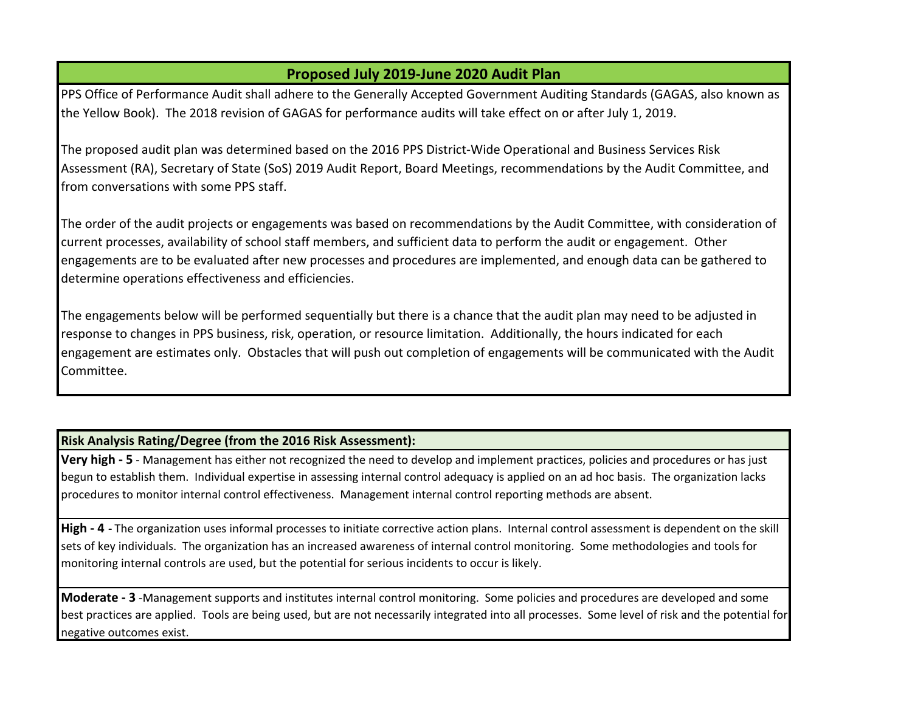## **Proposed July 2019-June 2020 Audit Plan**

PPS Office of Performance Audit shall adhere to the Generally Accepted Government Auditing Standards (GAGAS, also known as the Yellow Book). The 2018 revision of GAGAS for performance audits will take effect on or after July 1, 2019.

The proposed audit plan was determined based on the 2016 PPS District-Wide Operational and Business Services Risk Assessment (RA), Secretary of State (SoS) 2019 Audit Report, Board Meetings, recommendations by the Audit Committee, and from conversations with some PPS staff.

The order of the audit projects or engagements was based on recommendations by the Audit Committee, with consideration of current processes, availability of school staff members, and sufficient data to perform the audit or engagement. Other engagements are to be evaluated after new processes and procedures are implemented, and enough data can be gathered to determine operations effectiveness and efficiencies.

The engagements below will be performed sequentially but there is a chance that the audit plan may need to be adjusted in response to changes in PPS business, risk, operation, or resource limitation. Additionally, the hours indicated for each engagement are estimates only. Obstacles that will push out completion of engagements will be communicated with the Audit Committee.

## **Risk Analysis Rating/Degree (from the 2016 Risk Assessment):**

**Very high - 5** - Management has either not recognized the need to develop and implement practices, policies and procedures or has just begun to establish them. Individual expertise in assessing internal control adequacy is applied on an ad hoc basis. The organization lacks procedures to monitor internal control effectiveness. Management internal control reporting methods are absent.

High - 4 - The organization uses informal processes to initiate corrective action plans. Internal control assessment is dependent on the skill sets of key individuals. The organization has an increased awareness of internal control monitoring. Some methodologies and tools for monitoring internal controls are used, but the potential for serious incidents to occur is likely.

**Moderate - 3** -Management supports and institutes internal control monitoring. Some policies and procedures are developed and some best practices are applied. Tools are being used, but are not necessarily integrated into all processes. Some level of risk and the potential for negative outcomes exist.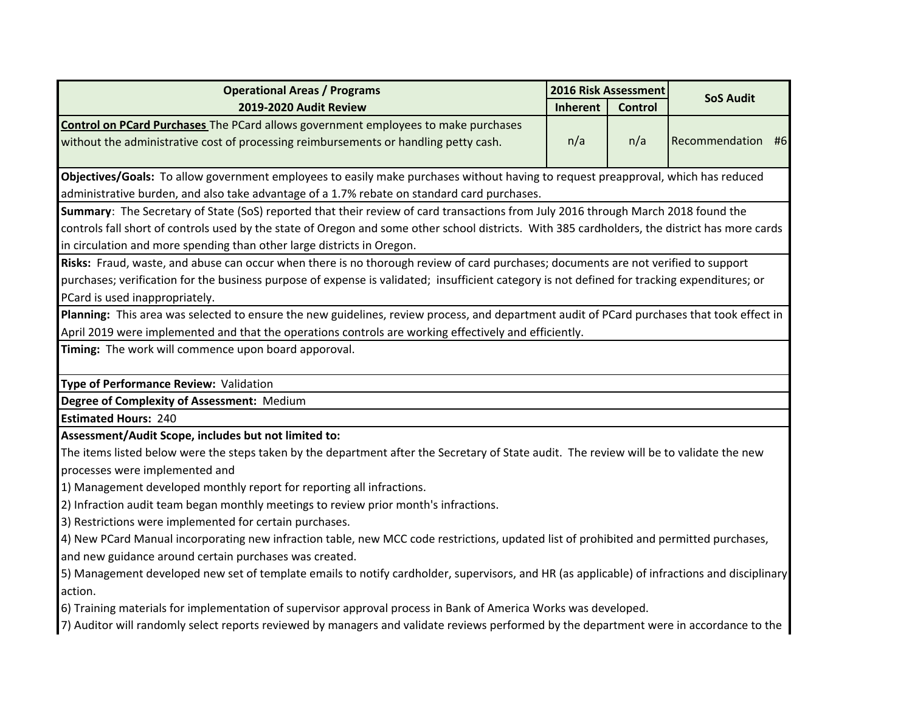| <b>Operational Areas / Programs</b>                                                                                                            | 2016 Risk Assessment |         | <b>SoS Audit</b>  |  |  |
|------------------------------------------------------------------------------------------------------------------------------------------------|----------------------|---------|-------------------|--|--|
| 2019-2020 Audit Review                                                                                                                         | Inherent             | Control |                   |  |  |
| <b>Control on PCard Purchases</b> The PCard allows government employees to make purchases                                                      |                      |         |                   |  |  |
| without the administrative cost of processing reimbursements or handling petty cash.                                                           | n/a                  | n/a     | Recommendation #6 |  |  |
|                                                                                                                                                |                      |         |                   |  |  |
| Objectives/Goals: To allow government employees to easily make purchases without having to request preapproval, which has reduced              |                      |         |                   |  |  |
| administrative burden, and also take advantage of a 1.7% rebate on standard card purchases.                                                    |                      |         |                   |  |  |
| Summary: The Secretary of State (SoS) reported that their review of card transactions from July 2016 through March 2018 found the              |                      |         |                   |  |  |
| controls fall short of controls used by the state of Oregon and some other school districts. With 385 cardholders, the district has more cards |                      |         |                   |  |  |
| in circulation and more spending than other large districts in Oregon.                                                                         |                      |         |                   |  |  |
| Risks: Fraud, waste, and abuse can occur when there is no thorough review of card purchases; documents are not verified to support             |                      |         |                   |  |  |
| purchases; verification for the business purpose of expense is validated; insufficient category is not defined for tracking expenditures; or   |                      |         |                   |  |  |
| PCard is used inappropriately.                                                                                                                 |                      |         |                   |  |  |
| Planning: This area was selected to ensure the new guidelines, review process, and department audit of PCard purchases that took effect in     |                      |         |                   |  |  |
| April 2019 were implemented and that the operations controls are working effectively and efficiently.                                          |                      |         |                   |  |  |
| Timing: The work will commence upon board apporoval.                                                                                           |                      |         |                   |  |  |
|                                                                                                                                                |                      |         |                   |  |  |
| Type of Performance Review: Validation                                                                                                         |                      |         |                   |  |  |
| Degree of Complexity of Assessment: Medium                                                                                                     |                      |         |                   |  |  |
| <b>Estimated Hours: 240</b>                                                                                                                    |                      |         |                   |  |  |
| Assessment/Audit Scope, includes but not limited to:                                                                                           |                      |         |                   |  |  |
| The items listed below were the steps taken by the department after the Secretary of State audit. The review will be to validate the new       |                      |         |                   |  |  |
| processes were implemented and                                                                                                                 |                      |         |                   |  |  |
| 1) Management developed monthly report for reporting all infractions.                                                                          |                      |         |                   |  |  |
| 2) Infraction audit team began monthly meetings to review prior month's infractions.                                                           |                      |         |                   |  |  |
| 3) Restrictions were implemented for certain purchases.                                                                                        |                      |         |                   |  |  |
| 4) New PCard Manual incorporating new infraction table, new MCC code restrictions, updated list of prohibited and permitted purchases,         |                      |         |                   |  |  |
| and new guidance around certain purchases was created.                                                                                         |                      |         |                   |  |  |
| 5) Management developed new set of template emails to notify cardholder, supervisors, and HR (as applicable) of infractions and disciplinary   |                      |         |                   |  |  |
| action.                                                                                                                                        |                      |         |                   |  |  |
| 6) Training materials for implementation of supervisor approval process in Bank of America Works was developed.                                |                      |         |                   |  |  |
| 7) Auditor will randomly select reports reviewed by managers and validate reviews performed by the department were in accordance to the        |                      |         |                   |  |  |
|                                                                                                                                                |                      |         |                   |  |  |